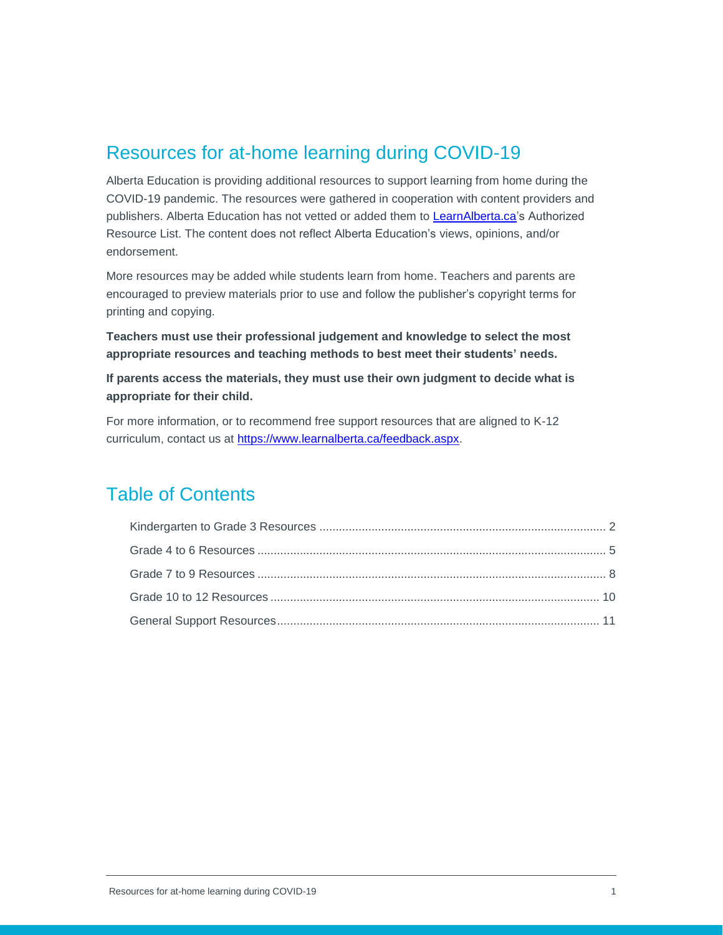## Resources for at-home learning during COVID-19

Alberta Education is providing additional resources to support learning from home during the COVID-19 pandemic. The resources were gathered in cooperation with content providers and publishers. Alberta Education has not vetted or added them to [LearnAlberta.ca's](https://new.learnalberta.ca/) Authorized Resource List. The content does not reflect Alberta Education's views, opinions, and/or endorsement.

More resources may be added while students learn from home. Teachers and parents are encouraged to preview materials prior to use and follow the publisher's copyright terms for printing and copying.

**Teachers must use their professional judgement and knowledge to select the most appropriate resources and teaching methods to best meet their students' needs.** 

**If parents access the materials, they must use their own judgment to decide what is appropriate for their child.**

For more information, or to recommend free support resources that are aligned to K-12 curriculum, contact us at [https://www.learnalberta.ca/feedback.aspx.](https://www.learnalberta.ca/feedback.aspx)

## Table of Contents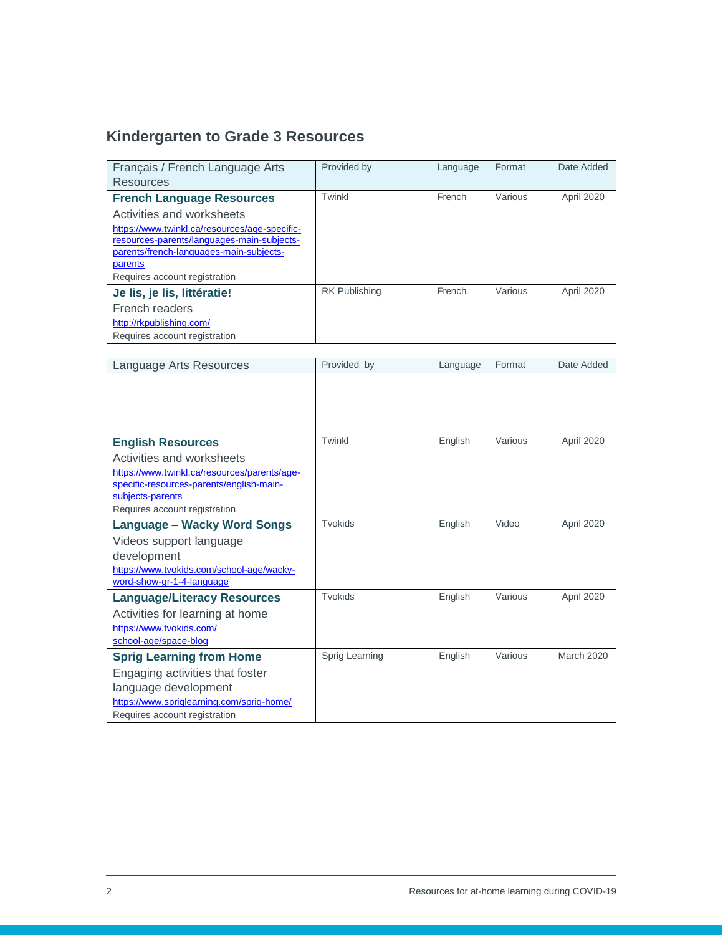# <span id="page-1-0"></span>**Kindergarten to Grade 3 Resources**

| Français / French Language Arts               | Provided by          | Language | Format  | Date Added |
|-----------------------------------------------|----------------------|----------|---------|------------|
| Resources                                     |                      |          |         |            |
| <b>French Language Resources</b>              | Twinkl               | French   | Various | April 2020 |
| Activities and worksheets                     |                      |          |         |            |
| https://www.twinkl.ca/resources/age-specific- |                      |          |         |            |
| resources-parents/languages-main-subjects-    |                      |          |         |            |
| parents/french-languages-main-subjects-       |                      |          |         |            |
| parents                                       |                      |          |         |            |
| Requires account registration                 |                      |          |         |            |
| Je lis, je lis, littératie!                   | <b>RK Publishing</b> | French   | Various | April 2020 |
| French readers                                |                      |          |         |            |
| http://rkpublishing.com/                      |                      |          |         |            |
| Requires account registration                 |                      |          |         |            |

| Language Arts Resources                                                | Provided by    | Language | Format  | Date Added        |
|------------------------------------------------------------------------|----------------|----------|---------|-------------------|
|                                                                        |                |          |         |                   |
|                                                                        |                |          |         |                   |
|                                                                        |                |          |         |                   |
|                                                                        |                |          |         |                   |
| <b>English Resources</b>                                               | Twinkl         | English  | Various | April 2020        |
| Activities and worksheets                                              |                |          |         |                   |
| https://www.twinkl.ca/resources/parents/age-                           |                |          |         |                   |
| specific-resources-parents/english-main-                               |                |          |         |                   |
| subjects-parents<br>Requires account registration                      |                |          |         |                   |
| Language – Wacky Word Songs                                            | <b>Tvokids</b> | English  | Video   | April 2020        |
|                                                                        |                |          |         |                   |
| Videos support language                                                |                |          |         |                   |
| development                                                            |                |          |         |                   |
| https://www.tvokids.com/school-age/wacky-<br>word-show-gr-1-4-language |                |          |         |                   |
| <b>Language/Literacy Resources</b>                                     | Tvokids        | English  | Various | April 2020        |
| Activities for learning at home                                        |                |          |         |                   |
| https://www.tvokids.com/                                               |                |          |         |                   |
| school-age/space-blog                                                  |                |          |         |                   |
| <b>Sprig Learning from Home</b>                                        | Sprig Learning | English  | Various | <b>March 2020</b> |
| Engaging activities that foster                                        |                |          |         |                   |
| language development                                                   |                |          |         |                   |
| https://www.spriglearning.com/sprig-home/                              |                |          |         |                   |
| Requires account registration                                          |                |          |         |                   |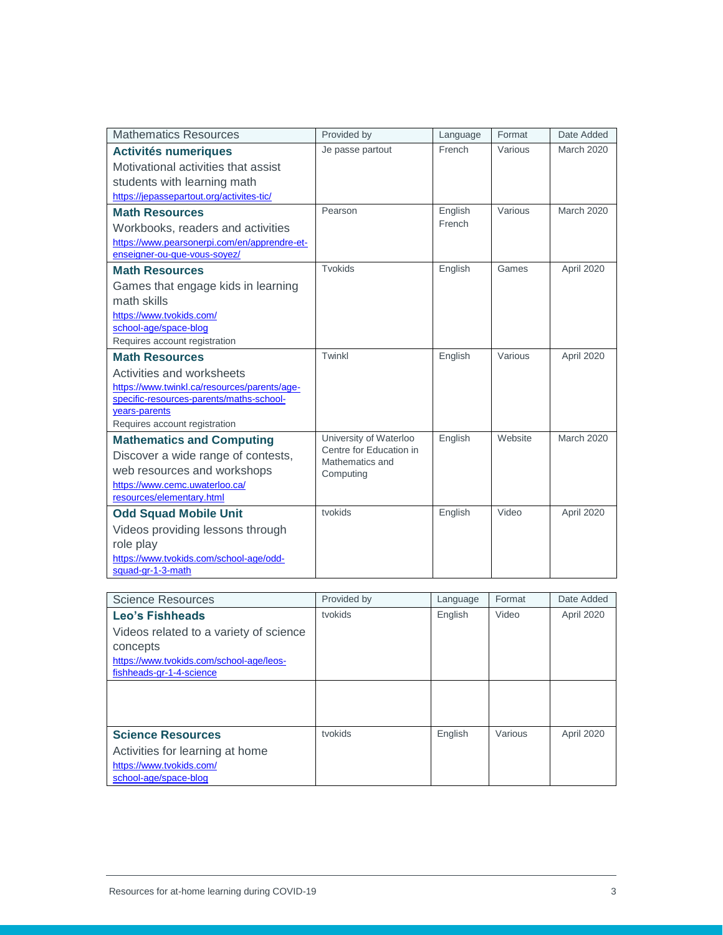| French<br>Je passe partout<br>Various<br><b>March 2020</b><br><b>Activités numeriques</b><br>Motivational activities that assist<br>students with learning math<br>https://jepassepartout.org/activites-tic/<br>English<br>Various<br><b>March 2020</b><br>Pearson<br><b>Math Resources</b><br>French<br>Workbooks, readers and activities<br>https://www.pearsonerpi.com/en/apprendre-et-<br>enseigner-ou-que-vous-soyez/<br>Tvokids<br>English<br>Games<br>April 2020<br><b>Math Resources</b><br>Games that engage kids in learning<br>math skills<br>https://www.tvokids.com/<br>school-age/space-blog<br>Requires account registration<br>Twinkl<br>English<br>Various<br>April 2020<br><b>Math Resources</b><br>Activities and worksheets<br>https://www.twinkl.ca/resources/parents/age-<br>specific-resources-parents/maths-school-<br>years-parents<br>Requires account registration<br>English<br>University of Waterloo<br>Website<br><b>March 2020</b><br><b>Mathematics and Computing</b><br>Centre for Education in<br>Discover a wide range of contests,<br>Mathematics and<br>web resources and workshops<br>Computing<br>https://www.cemc.uwaterloo.ca/<br>resources/elementary.html<br>tvokids<br>Video<br>English<br>April 2020<br><b>Odd Squad Mobile Unit</b><br>Videos providing lessons through<br>role play<br>https://www.tvokids.com/school-age/odd-<br>squad-gr-1-3-math | <b>Mathematics Resources</b> | Provided by | Language | Format | Date Added |
|-----------------------------------------------------------------------------------------------------------------------------------------------------------------------------------------------------------------------------------------------------------------------------------------------------------------------------------------------------------------------------------------------------------------------------------------------------------------------------------------------------------------------------------------------------------------------------------------------------------------------------------------------------------------------------------------------------------------------------------------------------------------------------------------------------------------------------------------------------------------------------------------------------------------------------------------------------------------------------------------------------------------------------------------------------------------------------------------------------------------------------------------------------------------------------------------------------------------------------------------------------------------------------------------------------------------------------------------------------------------------------------------------------|------------------------------|-------------|----------|--------|------------|
|                                                                                                                                                                                                                                                                                                                                                                                                                                                                                                                                                                                                                                                                                                                                                                                                                                                                                                                                                                                                                                                                                                                                                                                                                                                                                                                                                                                                     |                              |             |          |        |            |
|                                                                                                                                                                                                                                                                                                                                                                                                                                                                                                                                                                                                                                                                                                                                                                                                                                                                                                                                                                                                                                                                                                                                                                                                                                                                                                                                                                                                     |                              |             |          |        |            |
|                                                                                                                                                                                                                                                                                                                                                                                                                                                                                                                                                                                                                                                                                                                                                                                                                                                                                                                                                                                                                                                                                                                                                                                                                                                                                                                                                                                                     |                              |             |          |        |            |
|                                                                                                                                                                                                                                                                                                                                                                                                                                                                                                                                                                                                                                                                                                                                                                                                                                                                                                                                                                                                                                                                                                                                                                                                                                                                                                                                                                                                     |                              |             |          |        |            |
|                                                                                                                                                                                                                                                                                                                                                                                                                                                                                                                                                                                                                                                                                                                                                                                                                                                                                                                                                                                                                                                                                                                                                                                                                                                                                                                                                                                                     |                              |             |          |        |            |
|                                                                                                                                                                                                                                                                                                                                                                                                                                                                                                                                                                                                                                                                                                                                                                                                                                                                                                                                                                                                                                                                                                                                                                                                                                                                                                                                                                                                     |                              |             |          |        |            |
|                                                                                                                                                                                                                                                                                                                                                                                                                                                                                                                                                                                                                                                                                                                                                                                                                                                                                                                                                                                                                                                                                                                                                                                                                                                                                                                                                                                                     |                              |             |          |        |            |
|                                                                                                                                                                                                                                                                                                                                                                                                                                                                                                                                                                                                                                                                                                                                                                                                                                                                                                                                                                                                                                                                                                                                                                                                                                                                                                                                                                                                     |                              |             |          |        |            |
|                                                                                                                                                                                                                                                                                                                                                                                                                                                                                                                                                                                                                                                                                                                                                                                                                                                                                                                                                                                                                                                                                                                                                                                                                                                                                                                                                                                                     |                              |             |          |        |            |
|                                                                                                                                                                                                                                                                                                                                                                                                                                                                                                                                                                                                                                                                                                                                                                                                                                                                                                                                                                                                                                                                                                                                                                                                                                                                                                                                                                                                     |                              |             |          |        |            |
|                                                                                                                                                                                                                                                                                                                                                                                                                                                                                                                                                                                                                                                                                                                                                                                                                                                                                                                                                                                                                                                                                                                                                                                                                                                                                                                                                                                                     |                              |             |          |        |            |
|                                                                                                                                                                                                                                                                                                                                                                                                                                                                                                                                                                                                                                                                                                                                                                                                                                                                                                                                                                                                                                                                                                                                                                                                                                                                                                                                                                                                     |                              |             |          |        |            |
|                                                                                                                                                                                                                                                                                                                                                                                                                                                                                                                                                                                                                                                                                                                                                                                                                                                                                                                                                                                                                                                                                                                                                                                                                                                                                                                                                                                                     |                              |             |          |        |            |
|                                                                                                                                                                                                                                                                                                                                                                                                                                                                                                                                                                                                                                                                                                                                                                                                                                                                                                                                                                                                                                                                                                                                                                                                                                                                                                                                                                                                     |                              |             |          |        |            |
|                                                                                                                                                                                                                                                                                                                                                                                                                                                                                                                                                                                                                                                                                                                                                                                                                                                                                                                                                                                                                                                                                                                                                                                                                                                                                                                                                                                                     |                              |             |          |        |            |
|                                                                                                                                                                                                                                                                                                                                                                                                                                                                                                                                                                                                                                                                                                                                                                                                                                                                                                                                                                                                                                                                                                                                                                                                                                                                                                                                                                                                     |                              |             |          |        |            |
|                                                                                                                                                                                                                                                                                                                                                                                                                                                                                                                                                                                                                                                                                                                                                                                                                                                                                                                                                                                                                                                                                                                                                                                                                                                                                                                                                                                                     |                              |             |          |        |            |
|                                                                                                                                                                                                                                                                                                                                                                                                                                                                                                                                                                                                                                                                                                                                                                                                                                                                                                                                                                                                                                                                                                                                                                                                                                                                                                                                                                                                     |                              |             |          |        |            |
|                                                                                                                                                                                                                                                                                                                                                                                                                                                                                                                                                                                                                                                                                                                                                                                                                                                                                                                                                                                                                                                                                                                                                                                                                                                                                                                                                                                                     |                              |             |          |        |            |
|                                                                                                                                                                                                                                                                                                                                                                                                                                                                                                                                                                                                                                                                                                                                                                                                                                                                                                                                                                                                                                                                                                                                                                                                                                                                                                                                                                                                     |                              |             |          |        |            |
|                                                                                                                                                                                                                                                                                                                                                                                                                                                                                                                                                                                                                                                                                                                                                                                                                                                                                                                                                                                                                                                                                                                                                                                                                                                                                                                                                                                                     |                              |             |          |        |            |
|                                                                                                                                                                                                                                                                                                                                                                                                                                                                                                                                                                                                                                                                                                                                                                                                                                                                                                                                                                                                                                                                                                                                                                                                                                                                                                                                                                                                     |                              |             |          |        |            |
|                                                                                                                                                                                                                                                                                                                                                                                                                                                                                                                                                                                                                                                                                                                                                                                                                                                                                                                                                                                                                                                                                                                                                                                                                                                                                                                                                                                                     |                              |             |          |        |            |
|                                                                                                                                                                                                                                                                                                                                                                                                                                                                                                                                                                                                                                                                                                                                                                                                                                                                                                                                                                                                                                                                                                                                                                                                                                                                                                                                                                                                     |                              |             |          |        |            |
|                                                                                                                                                                                                                                                                                                                                                                                                                                                                                                                                                                                                                                                                                                                                                                                                                                                                                                                                                                                                                                                                                                                                                                                                                                                                                                                                                                                                     |                              |             |          |        |            |
|                                                                                                                                                                                                                                                                                                                                                                                                                                                                                                                                                                                                                                                                                                                                                                                                                                                                                                                                                                                                                                                                                                                                                                                                                                                                                                                                                                                                     |                              |             |          |        |            |
|                                                                                                                                                                                                                                                                                                                                                                                                                                                                                                                                                                                                                                                                                                                                                                                                                                                                                                                                                                                                                                                                                                                                                                                                                                                                                                                                                                                                     |                              |             |          |        |            |
|                                                                                                                                                                                                                                                                                                                                                                                                                                                                                                                                                                                                                                                                                                                                                                                                                                                                                                                                                                                                                                                                                                                                                                                                                                                                                                                                                                                                     |                              |             |          |        |            |
|                                                                                                                                                                                                                                                                                                                                                                                                                                                                                                                                                                                                                                                                                                                                                                                                                                                                                                                                                                                                                                                                                                                                                                                                                                                                                                                                                                                                     |                              |             |          |        |            |

| <b>Science Resources</b>                 | Provided by | Language | Format  | Date Added |
|------------------------------------------|-------------|----------|---------|------------|
| Leo's Fishheads                          | tvokids     | English  | Video   | April 2020 |
| Videos related to a variety of science   |             |          |         |            |
| concepts                                 |             |          |         |            |
| https://www.tvokids.com/school-age/leos- |             |          |         |            |
| fishheads-gr-1-4-science                 |             |          |         |            |
|                                          |             |          |         |            |
|                                          |             |          |         |            |
|                                          |             |          |         |            |
| <b>Science Resources</b>                 | tvokids     | English  | Various | April 2020 |
| Activities for learning at home          |             |          |         |            |
| https://www.tvokids.com/                 |             |          |         |            |
| school-age/space-blog                    |             |          |         |            |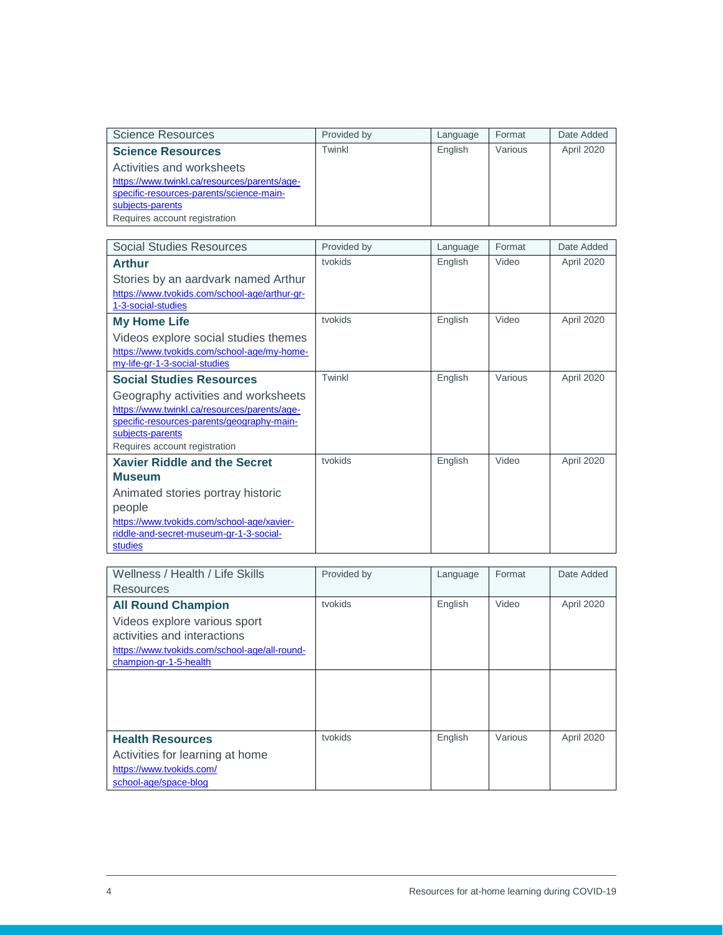| Science Resources                            | Provided by | Language | Format  | Date Added |
|----------------------------------------------|-------------|----------|---------|------------|
| <b>Science Resources</b>                     | Twinkl      | English  | Various | April 2020 |
| Activities and worksheets                    |             |          |         |            |
| https://www.twinkl.ca/resources/parents/age- |             |          |         |            |
| specific-resources-parents/science-main-     |             |          |         |            |
| subjects-parents                             |             |          |         |            |
| Requires account registration                |             |          |         |            |

| <b>Social Studies Resources</b>                                     | Provided by | Language | Format  | Date Added |
|---------------------------------------------------------------------|-------------|----------|---------|------------|
| <b>Arthur</b>                                                       | tvokids     | English  | Video   | April 2020 |
| Stories by an aardvark named Arthur                                 |             |          |         |            |
| https://www.tvokids.com/school-age/arthur-gr-<br>1-3-social-studies |             |          |         |            |
| <b>My Home Life</b>                                                 | tvokids     | English  | Video   | April 2020 |
| Videos explore social studies themes                                |             |          |         |            |
| https://www.tvokids.com/school-age/my-home-                         |             |          |         |            |
| my-life-gr-1-3-social-studies                                       |             |          |         |            |
| <b>Social Studies Resources</b>                                     | Twinkl      | English  | Various | April 2020 |
| Geography activities and worksheets                                 |             |          |         |            |
| https://www.twinkl.ca/resources/parents/age-                        |             |          |         |            |
| specific-resources-parents/geography-main-<br>subjects-parents      |             |          |         |            |
| Requires account registration                                       |             |          |         |            |
| <b>Xavier Riddle and the Secret</b>                                 | tvokids     | English  | Video   | April 2020 |
| <b>Museum</b>                                                       |             |          |         |            |
| Animated stories portray historic                                   |             |          |         |            |
| people                                                              |             |          |         |            |
| https://www.tvokids.com/school-age/xavier-                          |             |          |         |            |
| riddle-and-secret-museum-gr-1-3-social-                             |             |          |         |            |
| studies                                                             |             |          |         |            |

| Wellness / Health / Life Skills               | Provided by | Language | Format  | Date Added |
|-----------------------------------------------|-------------|----------|---------|------------|
| Resources                                     |             |          |         |            |
| <b>All Round Champion</b>                     | tvokids     | English  | Video   | April 2020 |
| Videos explore various sport                  |             |          |         |            |
| activities and interactions                   |             |          |         |            |
| https://www.tvokids.com/school-age/all-round- |             |          |         |            |
| champion-gr-1-5-health                        |             |          |         |            |
|                                               |             |          |         |            |
|                                               |             |          |         |            |
|                                               |             |          |         |            |
|                                               |             |          |         |            |
| <b>Health Resources</b>                       | tvokids     | English  | Various | April 2020 |
| Activities for learning at home               |             |          |         |            |
| https://www.tvokids.com/                      |             |          |         |            |
| school-age/space-blog                         |             |          |         |            |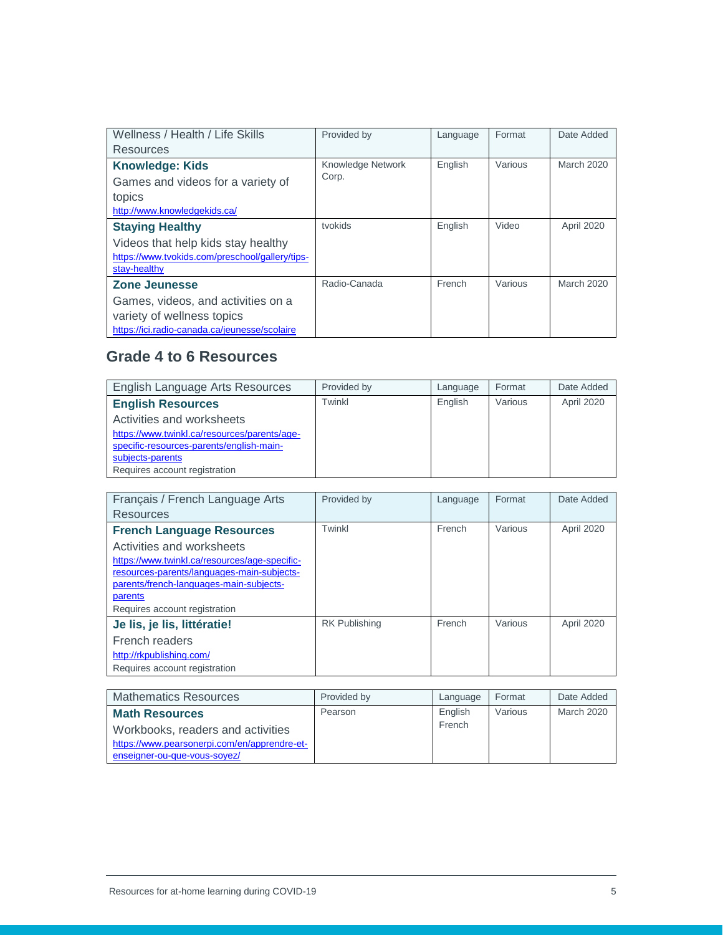| Wellness / Health / Life Skills                 | Provided by       | Language | Format  | Date Added |
|-------------------------------------------------|-------------------|----------|---------|------------|
| Resources                                       |                   |          |         |            |
| <b>Knowledge: Kids</b>                          | Knowledge Network | English  | Various | March 2020 |
| Games and videos for a variety of               | Corp.             |          |         |            |
| topics                                          |                   |          |         |            |
| http://www.knowledgekids.ca/                    |                   |          |         |            |
| <b>Staying Healthy</b>                          | tvokids           | English  | Video   | April 2020 |
| Videos that help kids stay healthy              |                   |          |         |            |
| https://www.tvokids.com/preschool/gallery/tips- |                   |          |         |            |
| stay-healthy                                    |                   |          |         |            |
| <b>Zone Jeunesse</b>                            | Radio-Canada      | French   | Various | March 2020 |
| Games, videos, and activities on a              |                   |          |         |            |
| variety of wellness topics                      |                   |          |         |            |
| https://ici.radio-canada.ca/jeunesse/scolaire   |                   |          |         |            |

### <span id="page-4-0"></span>**Grade 4 to 6 Resources**

| English Language Arts Resources              | Provided by | Language | Format  | Date Added |
|----------------------------------------------|-------------|----------|---------|------------|
| <b>English Resources</b>                     | Twinkl      | English  | Various | April 2020 |
| Activities and worksheets                    |             |          |         |            |
| https://www.twinkl.ca/resources/parents/age- |             |          |         |            |
| specific-resources-parents/english-main-     |             |          |         |            |
| subjects-parents                             |             |          |         |            |
| Requires account registration                |             |          |         |            |

| Français / French Language Arts               | Provided by          | Language | Format  | Date Added |
|-----------------------------------------------|----------------------|----------|---------|------------|
| Resources                                     |                      |          |         |            |
| <b>French Language Resources</b>              | Twinkl               | French   | Various | April 2020 |
| Activities and worksheets                     |                      |          |         |            |
| https://www.twinkl.ca/resources/age-specific- |                      |          |         |            |
| resources-parents/languages-main-subjects-    |                      |          |         |            |
| parents/french-languages-main-subjects-       |                      |          |         |            |
| parents                                       |                      |          |         |            |
| Requires account registration                 |                      |          |         |            |
| Je lis, je lis, littératie!                   | <b>RK Publishing</b> | French   | Various | April 2020 |
| French readers                                |                      |          |         |            |
| http://rkpublishing.com/                      |                      |          |         |            |
| Requires account registration                 |                      |          |         |            |

| <b>Mathematics Resources</b>                 | Provided by | Language | Format  | Date Added |
|----------------------------------------------|-------------|----------|---------|------------|
| <b>Math Resources</b>                        | Pearson     | English  | Various | March 2020 |
| Workbooks, readers and activities            |             | French   |         |            |
| https://www.pearsonerpi.com/en/apprendre-et- |             |          |         |            |
| enseigner-ou-que-vous-soyez/                 |             |          |         |            |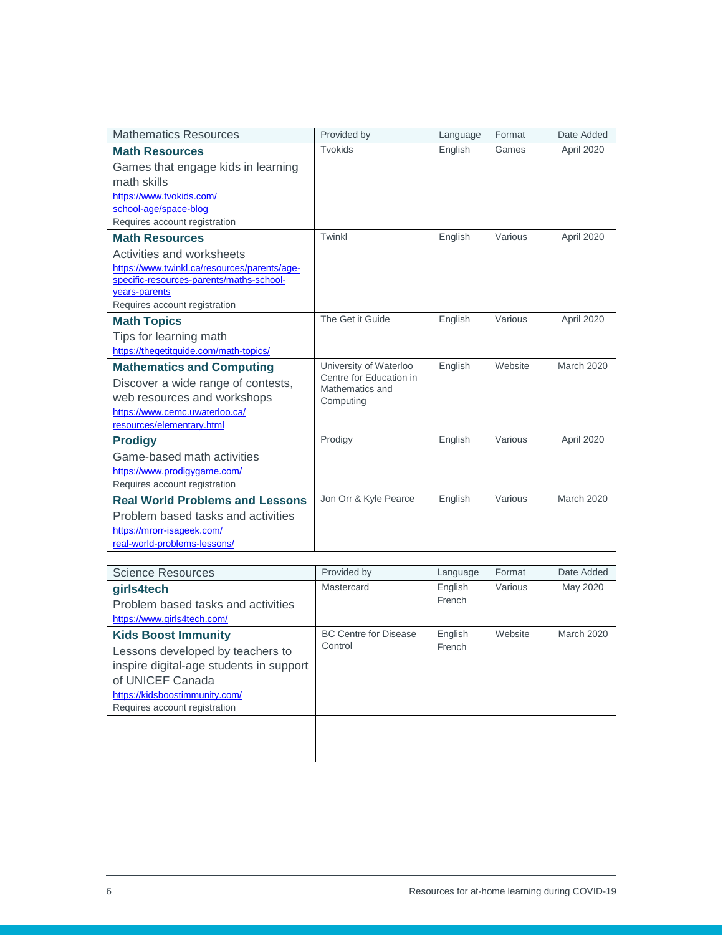| <b>Mathematics Resources</b>                              | Provided by                  | Language | Format  | Date Added        |
|-----------------------------------------------------------|------------------------------|----------|---------|-------------------|
| <b>Math Resources</b>                                     | Tvokids                      | English  | Games   | April 2020        |
| Games that engage kids in learning                        |                              |          |         |                   |
| math skills                                               |                              |          |         |                   |
| https://www.tvokids.com/                                  |                              |          |         |                   |
| school-age/space-blog                                     |                              |          |         |                   |
| Requires account registration                             |                              |          |         |                   |
| <b>Math Resources</b>                                     | Twinkl                       | English  | Various | April 2020        |
| Activities and worksheets                                 |                              |          |         |                   |
| https://www.twinkl.ca/resources/parents/age-              |                              |          |         |                   |
| specific-resources-parents/maths-school-<br>years-parents |                              |          |         |                   |
| Requires account registration                             |                              |          |         |                   |
| <b>Math Topics</b>                                        | The Get it Guide             | English  | Various | April 2020        |
| Tips for learning math                                    |                              |          |         |                   |
| https://thegetitguide.com/math-topics/                    |                              |          |         |                   |
| <b>Mathematics and Computing</b>                          | University of Waterloo       | English  | Website | <b>March 2020</b> |
| Discover a wide range of contests,                        | Centre for Education in      |          |         |                   |
| web resources and workshops                               | Mathematics and<br>Computing |          |         |                   |
| https://www.cemc.uwaterloo.ca/                            |                              |          |         |                   |
| resources/elementary.html                                 |                              |          |         |                   |
| <b>Prodigy</b>                                            | Prodigy                      | English  | Various | April 2020        |
| Game-based math activities                                |                              |          |         |                   |
| https://www.prodigygame.com/                              |                              |          |         |                   |
| Requires account registration                             |                              |          |         |                   |
| <b>Real World Problems and Lessons</b>                    | Jon Orr & Kyle Pearce        | English  | Various | <b>March 2020</b> |
| Problem based tasks and activities                        |                              |          |         |                   |
| https://mrorr-isageek.com/                                |                              |          |         |                   |
| real-world-problems-lessons/                              |                              |          |         |                   |

| <b>Science Resources</b>                | Provided by                  | Language | Format  | Date Added        |
|-----------------------------------------|------------------------------|----------|---------|-------------------|
| girls4tech                              | Mastercard                   | English  | Various | May 2020          |
| Problem based tasks and activities      |                              | French   |         |                   |
| https://www.girls4tech.com/             |                              |          |         |                   |
| <b>Kids Boost Immunity</b>              | <b>BC Centre for Disease</b> | English  | Website | <b>March 2020</b> |
| Lessons developed by teachers to        | Control                      | French   |         |                   |
| inspire digital-age students in support |                              |          |         |                   |
| of UNICEF Canada                        |                              |          |         |                   |
| https://kidsboostimmunity.com/          |                              |          |         |                   |
| Requires account registration           |                              |          |         |                   |
|                                         |                              |          |         |                   |
|                                         |                              |          |         |                   |
|                                         |                              |          |         |                   |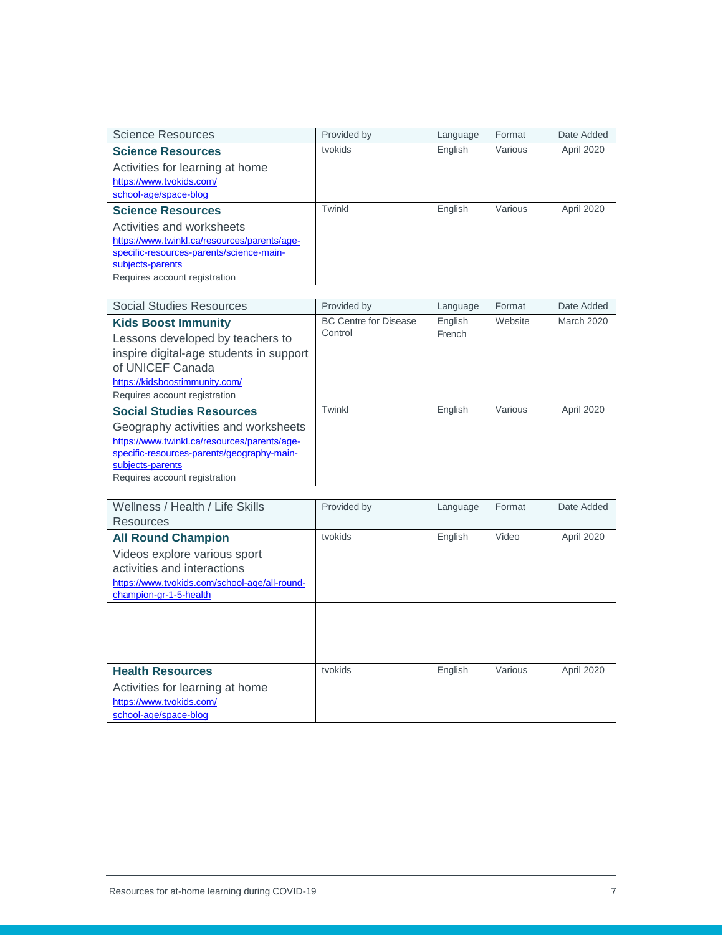| Science Resources                            | Provided by | Language | Format  | Date Added |
|----------------------------------------------|-------------|----------|---------|------------|
| <b>Science Resources</b>                     | tvokids     | English  | Various | April 2020 |
| Activities for learning at home              |             |          |         |            |
| https://www.tvokids.com/                     |             |          |         |            |
| school-age/space-blog                        |             |          |         |            |
| <b>Science Resources</b>                     | Twinkl      | English  | Various | April 2020 |
| Activities and worksheets                    |             |          |         |            |
| https://www.twinkl.ca/resources/parents/age- |             |          |         |            |
| specific-resources-parents/science-main-     |             |          |         |            |
| subjects-parents                             |             |          |         |            |
| Requires account registration                |             |          |         |            |

| Social Studies Resources                     | Provided by                  | Language | Format  | Date Added        |
|----------------------------------------------|------------------------------|----------|---------|-------------------|
| <b>Kids Boost Immunity</b>                   | <b>BC Centre for Disease</b> | English  | Website | <b>March 2020</b> |
| Lessons developed by teachers to             | Control                      | French   |         |                   |
| inspire digital-age students in support      |                              |          |         |                   |
| of UNICEF Canada                             |                              |          |         |                   |
| https://kidsboostimmunity.com/               |                              |          |         |                   |
| Requires account registration                |                              |          |         |                   |
| <b>Social Studies Resources</b>              | Twinkl                       | English  | Various | April 2020        |
| Geography activities and worksheets          |                              |          |         |                   |
| https://www.twinkl.ca/resources/parents/age- |                              |          |         |                   |
| specific-resources-parents/geography-main-   |                              |          |         |                   |
| subjects-parents                             |                              |          |         |                   |
| Requires account registration                |                              |          |         |                   |

| Wellness / Health / Life Skills               | Provided by | Language | Format  | Date Added |
|-----------------------------------------------|-------------|----------|---------|------------|
| Resources                                     |             |          |         |            |
| <b>All Round Champion</b>                     | tvokids     | English  | Video   | April 2020 |
| Videos explore various sport                  |             |          |         |            |
| activities and interactions                   |             |          |         |            |
| https://www.tvokids.com/school-age/all-round- |             |          |         |            |
| champion-gr-1-5-health                        |             |          |         |            |
|                                               |             |          |         |            |
|                                               |             |          |         |            |
|                                               |             |          |         |            |
|                                               |             |          |         |            |
| <b>Health Resources</b>                       | tvokids     | English  | Various | April 2020 |
| Activities for learning at home               |             |          |         |            |
| https://www.tvokids.com/                      |             |          |         |            |
| school-age/space-blog                         |             |          |         |            |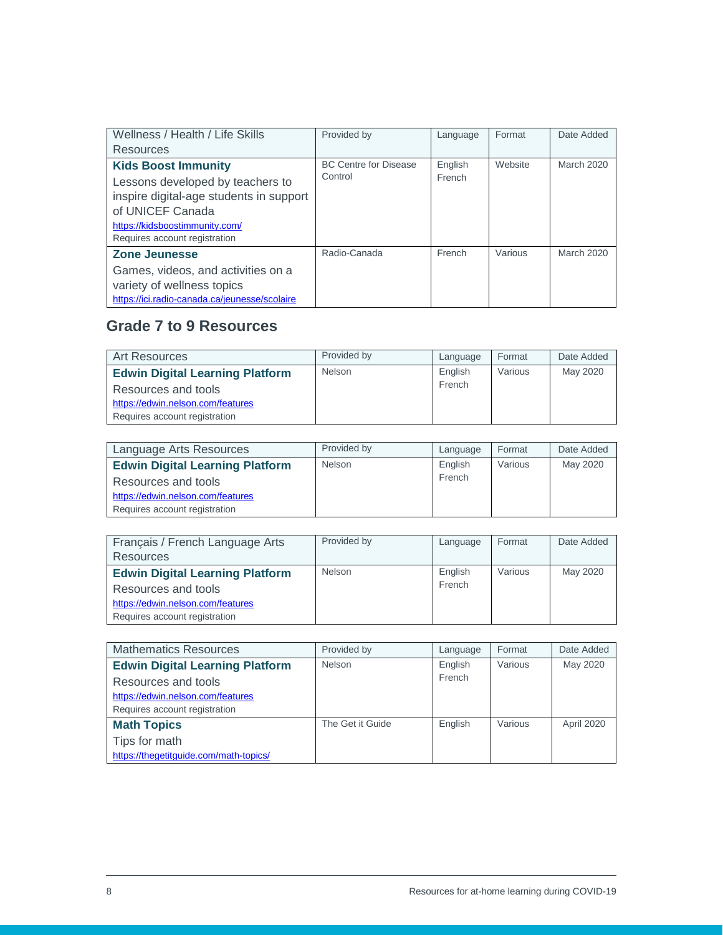| Wellness / Health / Life Skills                                                                                                                                                                  | Provided by                             | Language          | Format  | Date Added        |
|--------------------------------------------------------------------------------------------------------------------------------------------------------------------------------------------------|-----------------------------------------|-------------------|---------|-------------------|
| Resources                                                                                                                                                                                        |                                         |                   |         |                   |
| <b>Kids Boost Immunity</b><br>Lessons developed by teachers to<br>inspire digital-age students in support<br>of UNICEF Canada<br>https://kidsboostimmunity.com/<br>Requires account registration | <b>BC Centre for Disease</b><br>Control | English<br>French | Website | March 2020        |
| <b>Zone Jeunesse</b><br>Games, videos, and activities on a<br>variety of wellness topics<br>https://ici.radio-canada.ca/jeunesse/scolaire                                                        | Radio-Canada                            | French            | Various | <b>March 2020</b> |

### <span id="page-7-0"></span>**Grade 7 to 9 Resources**

| <b>Art Resources</b>                   | Provided by   | Language | Format  | Date Added |
|----------------------------------------|---------------|----------|---------|------------|
| <b>Edwin Digital Learning Platform</b> | <b>Nelson</b> | English  | Various | May 2020   |
| Resources and tools                    |               | French   |         |            |
| https://edwin.nelson.com/features      |               |          |         |            |
| Requires account registration          |               |          |         |            |

| Language Arts Resources                | Provided by | Language | Format  | Date Added |
|----------------------------------------|-------------|----------|---------|------------|
| <b>Edwin Digital Learning Platform</b> | Nelson      | English  | Various | May 2020   |
| Resources and tools                    |             | French   |         |            |
| https://edwin.nelson.com/features      |             |          |         |            |
| Requires account registration          |             |          |         |            |

| Français / French Language Arts<br><b>Resources</b>                                                                                 | Provided by | Language          | Format  | Date Added |
|-------------------------------------------------------------------------------------------------------------------------------------|-------------|-------------------|---------|------------|
| <b>Edwin Digital Learning Platform</b><br>Resources and tools<br>https://edwin.nelson.com/features<br>Requires account registration | Nelson      | English<br>French | Various | May 2020   |

| <b>Mathematics Resources</b>           | Provided by      | Language | Format  | Date Added |
|----------------------------------------|------------------|----------|---------|------------|
| <b>Edwin Digital Learning Platform</b> | Nelson           | English  | Various | May 2020   |
| Resources and tools                    |                  | French   |         |            |
| https://edwin.nelson.com/features      |                  |          |         |            |
| Requires account registration          |                  |          |         |            |
| <b>Math Topics</b>                     | The Get it Guide | English  | Various | April 2020 |
| Tips for math                          |                  |          |         |            |
| https://thegetitguide.com/math-topics/ |                  |          |         |            |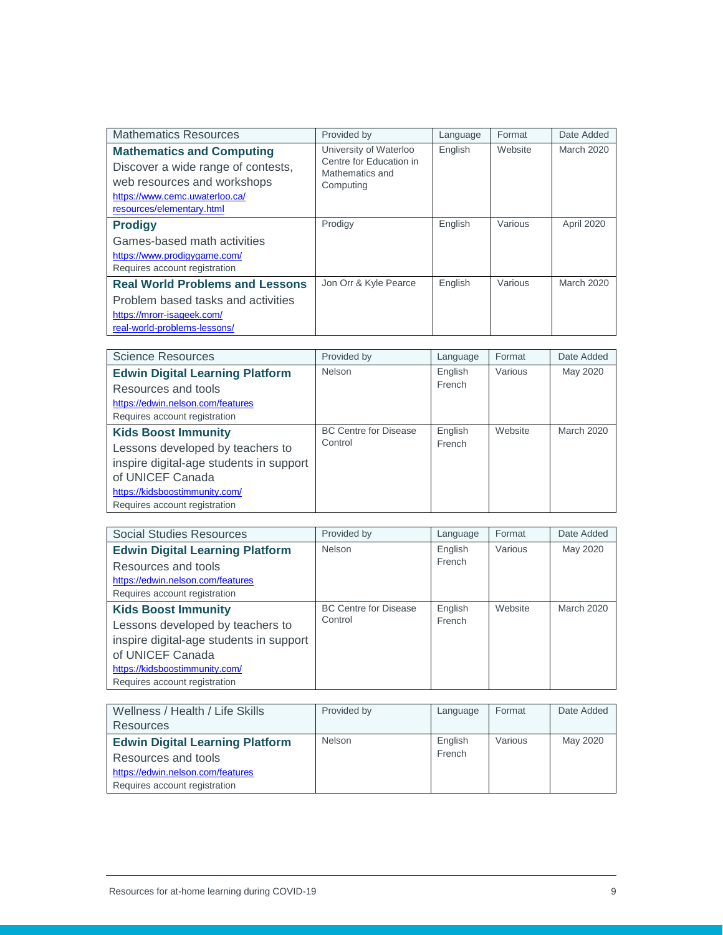| <b>Mathematics Resources</b>                                                                                                                                         | Provided by                                                                       | Language | Format  | Date Added |
|----------------------------------------------------------------------------------------------------------------------------------------------------------------------|-----------------------------------------------------------------------------------|----------|---------|------------|
| <b>Mathematics and Computing</b><br>Discover a wide range of contests,<br>web resources and workshops<br>https://www.cemc.uwaterloo.ca/<br>resources/elementary.html | University of Waterloo<br>Centre for Education in<br>Mathematics and<br>Computing | English  | Website | March 2020 |
| <b>Prodigy</b>                                                                                                                                                       | Prodigy                                                                           | English  | Various | April 2020 |
| Games-based math activities                                                                                                                                          |                                                                                   |          |         |            |
| https://www.prodigygame.com/                                                                                                                                         |                                                                                   |          |         |            |
| Requires account registration                                                                                                                                        |                                                                                   |          |         |            |
| <b>Real World Problems and Lessons</b>                                                                                                                               | Jon Orr & Kyle Pearce                                                             | English  | Various | March 2020 |
| Problem based tasks and activities                                                                                                                                   |                                                                                   |          |         |            |
| https://mrorr-isageek.com/                                                                                                                                           |                                                                                   |          |         |            |
| real-world-problems-lessons/                                                                                                                                         |                                                                                   |          |         |            |

| <b>Science Resources</b>                | Provided by                  | Language | Format  | Date Added        |
|-----------------------------------------|------------------------------|----------|---------|-------------------|
| <b>Edwin Digital Learning Platform</b>  | Nelson                       | English  | Various | May 2020          |
| Resources and tools                     |                              | French   |         |                   |
| https://edwin.nelson.com/features       |                              |          |         |                   |
| Requires account registration           |                              |          |         |                   |
| <b>Kids Boost Immunity</b>              | <b>BC Centre for Disease</b> | English  | Website | <b>March 2020</b> |
| Lessons developed by teachers to        | Control                      | French   |         |                   |
| inspire digital-age students in support |                              |          |         |                   |
| of UNICEF Canada                        |                              |          |         |                   |
| https://kidsboostimmunity.com/          |                              |          |         |                   |
| Requires account registration           |                              |          |         |                   |

| <b>Social Studies Resources</b>         | Provided by                  | Language | Format  | Date Added        |
|-----------------------------------------|------------------------------|----------|---------|-------------------|
| <b>Edwin Digital Learning Platform</b>  | Nelson                       | English  | Various | May 2020          |
| Resources and tools                     |                              | French   |         |                   |
| https://edwin.nelson.com/features       |                              |          |         |                   |
| Requires account registration           |                              |          |         |                   |
| <b>Kids Boost Immunity</b>              | <b>BC Centre for Disease</b> | English  | Website | <b>March 2020</b> |
| Lessons developed by teachers to        | Control                      | French   |         |                   |
| inspire digital-age students in support |                              |          |         |                   |
| of UNICEF Canada                        |                              |          |         |                   |
| https://kidsboostimmunity.com/          |                              |          |         |                   |
| Requires account registration           |                              |          |         |                   |

| Wellness / Health / Life Skills        | Provided by | Language | Format  | Date Added |
|----------------------------------------|-------------|----------|---------|------------|
| Resources                              |             |          |         |            |
| <b>Edwin Digital Learning Platform</b> | Nelson      | English  | Various | May 2020   |
| Resources and tools                    |             | French   |         |            |
| https://edwin.nelson.com/features      |             |          |         |            |
| Requires account registration          |             |          |         |            |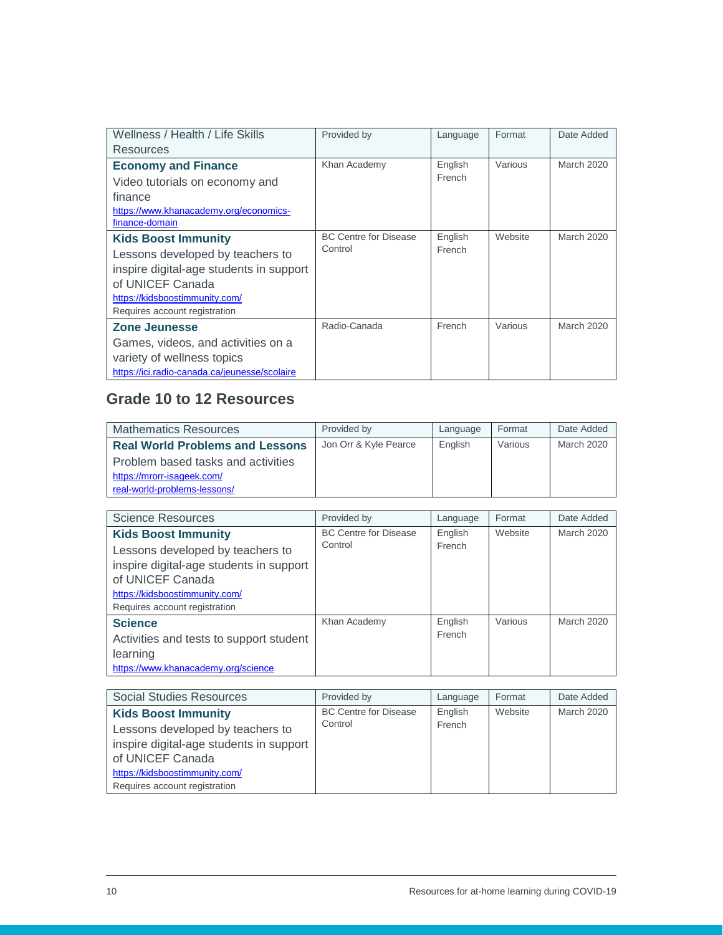| Wellness / Health / Life Skills               | Provided by                  | Language | Format  | Date Added        |
|-----------------------------------------------|------------------------------|----------|---------|-------------------|
| Resources                                     |                              |          |         |                   |
| <b>Economy and Finance</b>                    | Khan Academy                 | English  | Various | March 2020        |
| Video tutorials on economy and                |                              | French   |         |                   |
| finance                                       |                              |          |         |                   |
| https://www.khanacademy.org/economics-        |                              |          |         |                   |
| finance-domain                                |                              |          |         |                   |
| <b>Kids Boost Immunity</b>                    | <b>BC Centre for Disease</b> | English  | Website | <b>March 2020</b> |
| Lessons developed by teachers to              | Control                      | French   |         |                   |
| inspire digital-age students in support       |                              |          |         |                   |
| of UNICEF Canada                              |                              |          |         |                   |
| https://kidsboostimmunity.com/                |                              |          |         |                   |
| Requires account registration                 |                              |          |         |                   |
| Zone Jeunesse                                 | Radio-Canada                 | French   | Various | <b>March 2020</b> |
| Games, videos, and activities on a            |                              |          |         |                   |
| variety of wellness topics                    |                              |          |         |                   |
| https://ici.radio-canada.ca/jeunesse/scolaire |                              |          |         |                   |

#### <span id="page-9-0"></span>**Grade 10 to 12 Resources**

| <b>Mathematics Resources</b>           | Provided by           | Language | Format  | Date Added |
|----------------------------------------|-----------------------|----------|---------|------------|
| <b>Real World Problems and Lessons</b> | Jon Orr & Kyle Pearce | English  | Various | March 2020 |
| Problem based tasks and activities     |                       |          |         |            |
| https://mrorr-isageek.com/             |                       |          |         |            |
| real-world-problems-lessons/           |                       |          |         |            |

| <b>Science Resources</b>                | Provided by                  | Language | Format  | Date Added        |
|-----------------------------------------|------------------------------|----------|---------|-------------------|
| <b>Kids Boost Immunity</b>              | <b>BC Centre for Disease</b> | English  | Website | <b>March 2020</b> |
| Lessons developed by teachers to        | Control                      | French   |         |                   |
| inspire digital-age students in support |                              |          |         |                   |
| of UNICEF Canada                        |                              |          |         |                   |
| https://kidsboostimmunity.com/          |                              |          |         |                   |
| Requires account registration           |                              |          |         |                   |
| <b>Science</b>                          | Khan Academy                 | English  | Various | <b>March 2020</b> |
| Activities and tests to support student |                              | French   |         |                   |
| learning                                |                              |          |         |                   |
| https://www.khanacademy.org/science     |                              |          |         |                   |

| Social Studies Resources                | Provided by                  | Language | Format  | Date Added        |
|-----------------------------------------|------------------------------|----------|---------|-------------------|
| <b>Kids Boost Immunity</b>              | <b>BC Centre for Disease</b> | English  | Website | <b>March 2020</b> |
| Lessons developed by teachers to        | Control                      | French   |         |                   |
| inspire digital-age students in support |                              |          |         |                   |
| of UNICEF Canada                        |                              |          |         |                   |
| https://kidsboostimmunity.com/          |                              |          |         |                   |
| Requires account registration           |                              |          |         |                   |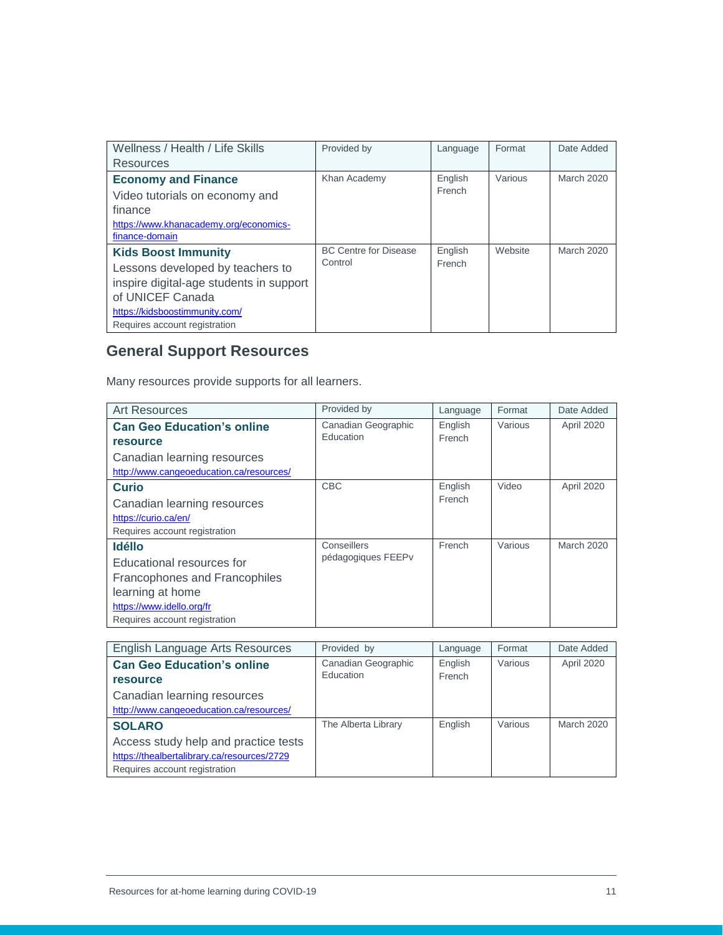| Wellness / Health / Life Skills                          | Provided by                  | Language | Format  | Date Added        |
|----------------------------------------------------------|------------------------------|----------|---------|-------------------|
| Resources                                                |                              |          |         |                   |
| <b>Economy and Finance</b>                               | Khan Academy                 | English  | Various | <b>March 2020</b> |
| Video tutorials on economy and                           |                              | French   |         |                   |
| finance                                                  |                              |          |         |                   |
| https://www.khanacademy.org/economics-<br>finance-domain |                              |          |         |                   |
| <b>Kids Boost Immunity</b>                               | <b>BC Centre for Disease</b> | English  | Website | March 2020        |
| Lessons developed by teachers to                         | Control                      | French   |         |                   |
| inspire digital-age students in support                  |                              |          |         |                   |
| of UNICEF Canada                                         |                              |          |         |                   |
| https://kidsboostimmunity.com/                           |                              |          |         |                   |
| Requires account registration                            |                              |          |         |                   |

## <span id="page-10-0"></span>**General Support Resources**

Many resources provide supports for all learners.

| <b>Art Resources</b>                     | Provided by         | Language | Format  | Date Added |
|------------------------------------------|---------------------|----------|---------|------------|
| <b>Can Geo Education's online</b>        | Canadian Geographic | English  | Various | April 2020 |
| <b>resource</b>                          | Education           | French   |         |            |
| Canadian learning resources              |                     |          |         |            |
| http://www.cangeoeducation.ca/resources/ |                     |          |         |            |
| <b>Curio</b>                             | <b>CBC</b>          | English  | Video   | April 2020 |
| Canadian learning resources              |                     | French   |         |            |
| https://curio.ca/en/                     |                     |          |         |            |
| Requires account registration            |                     |          |         |            |
| <b>Idélio</b>                            | Conseillers         | French   | Various | March 2020 |
| Educational resources for                | pédagogiques FEEPv  |          |         |            |
| Francophones and Francophiles            |                     |          |         |            |
| learning at home                         |                     |          |         |            |
| https://www.idello.org/fr                |                     |          |         |            |
| Requires account registration            |                     |          |         |            |

| English Language Arts Resources             | Provided by         | Language | Format  | Date Added |
|---------------------------------------------|---------------------|----------|---------|------------|
| <b>Can Geo Education's online</b>           | Canadian Geographic | English  | Various | April 2020 |
| <b>resource</b>                             | Education           | French   |         |            |
| Canadian learning resources                 |                     |          |         |            |
| http://www.cangeoeducation.ca/resources/    |                     |          |         |            |
| <b>SOLARO</b>                               | The Alberta Library | English  | Various | March 2020 |
| Access study help and practice tests        |                     |          |         |            |
| https://thealbertalibrary.ca/resources/2729 |                     |          |         |            |
| Requires account registration               |                     |          |         |            |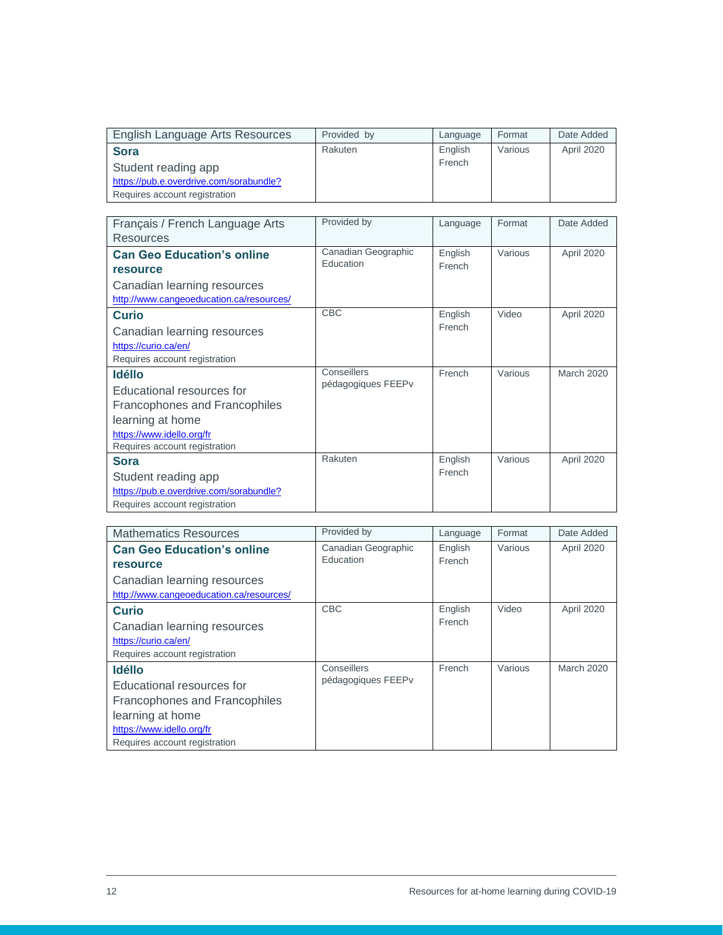| English Language Arts Resources         | Provided by | Language | Format  | Date Added |
|-----------------------------------------|-------------|----------|---------|------------|
| <b>Sora</b>                             | Rakuten     | English  | Various | April 2020 |
| Student reading app                     |             | French   |         |            |
| https://pub.e.overdrive.com/sorabundle? |             |          |         |            |
| Requires account registration           |             |          |         |            |

| Français / French Language Arts<br>Resources                                                                                                                  | Provided by                       | Language          | Format  | Date Added |
|---------------------------------------------------------------------------------------------------------------------------------------------------------------|-----------------------------------|-------------------|---------|------------|
| <b>Can Geo Education's online</b><br><b>resource</b><br>Canadian learning resources                                                                           | Canadian Geographic<br>Fducation  | English<br>French | Various | April 2020 |
| http://www.cangeoeducation.ca/resources/<br><b>Curio</b>                                                                                                      | <b>CBC</b>                        | English<br>French | Video   | April 2020 |
| Canadian learning resources<br>https://curio.ca/en/<br>Requires account registration                                                                          |                                   |                   |         |            |
| <b>Idélio</b><br>Educational resources for<br>Francophones and Francophiles<br>learning at home<br>https://www.idello.org/fr<br>Requires account registration | Conseillers<br>pédagogiques FEEPv | French            | Various | March 2020 |
| <b>Sora</b><br>Student reading app<br>https://pub.e.overdrive.com/sorabundle?<br>Requires account registration                                                | Rakuten                           | English<br>French | Various | April 2020 |

| <b>Mathematics Resources</b>             | Provided by         | Language | Format  | Date Added |
|------------------------------------------|---------------------|----------|---------|------------|
| <b>Can Geo Education's online</b>        | Canadian Geographic | English  | Various | April 2020 |
| <b>resource</b>                          | <b>Education</b>    | French   |         |            |
| Canadian learning resources              |                     |          |         |            |
| http://www.cangeoeducation.ca/resources/ |                     |          |         |            |
| <b>Curio</b>                             | <b>CBC</b>          | English  | Video   | April 2020 |
| Canadian learning resources              |                     | French   |         |            |
| https://curio.ca/en/                     |                     |          |         |            |
| Requires account registration            |                     |          |         |            |
| <b>Idélio</b>                            | Conseillers         | French   | Various | March 2020 |
| Educational resources for                | pédagogiques FEEPv  |          |         |            |
| Francophones and Francophiles            |                     |          |         |            |
| learning at home                         |                     |          |         |            |
| https://www.idello.org/fr                |                     |          |         |            |
| Requires account registration            |                     |          |         |            |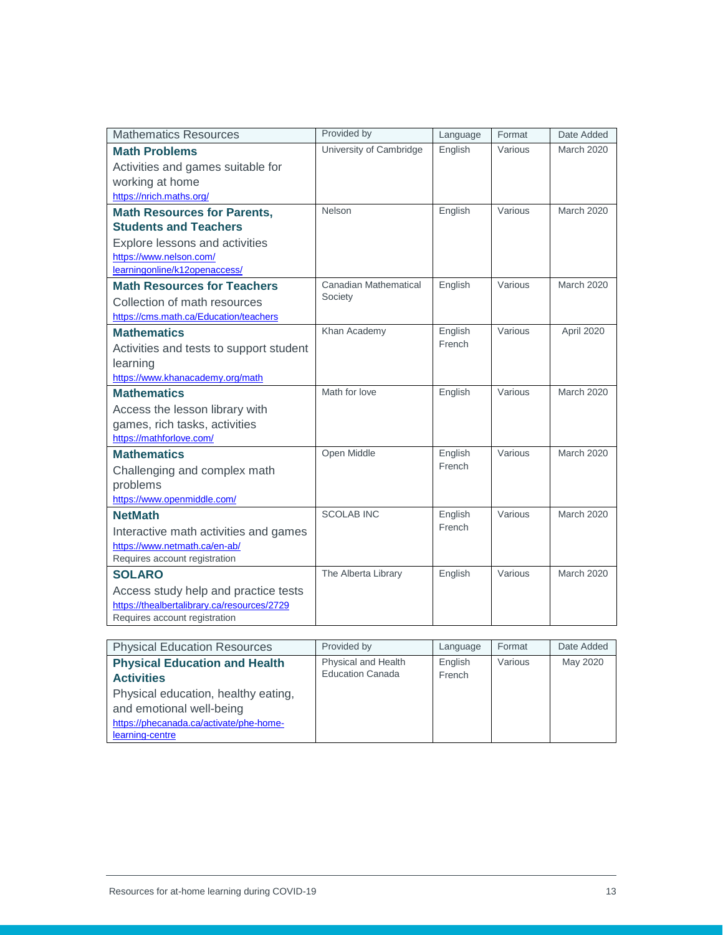| <b>Mathematics Resources</b>                                           | Provided by             | Language          | Format  | Date Added        |
|------------------------------------------------------------------------|-------------------------|-------------------|---------|-------------------|
| <b>Math Problems</b>                                                   | University of Cambridge | English           | Various | <b>March 2020</b> |
| Activities and games suitable for                                      |                         |                   |         |                   |
| working at home                                                        |                         |                   |         |                   |
| https://nrich.maths.org/                                               |                         |                   |         |                   |
| <b>Math Resources for Parents,</b>                                     | Nelson                  | English           | Various | <b>March 2020</b> |
| <b>Students and Teachers</b>                                           |                         |                   |         |                   |
| <b>Explore lessons and activities</b>                                  |                         |                   |         |                   |
| https://www.nelson.com/                                                |                         |                   |         |                   |
| learningonline/k12openaccess/                                          | Canadian Mathematical   |                   |         | <b>March 2020</b> |
| <b>Math Resources for Teachers</b>                                     | Society                 | English           | Various |                   |
| Collection of math resources                                           |                         |                   |         |                   |
| https://cms.math.ca/Education/teachers                                 |                         |                   |         |                   |
| <b>Mathematics</b>                                                     | Khan Academy            | English<br>French | Various | April 2020        |
| Activities and tests to support student                                |                         |                   |         |                   |
| learning                                                               |                         |                   |         |                   |
| https://www.khanacademy.org/math                                       | Math for love           | English           | Various | <b>March 2020</b> |
| <b>Mathematics</b>                                                     |                         |                   |         |                   |
| Access the lesson library with                                         |                         |                   |         |                   |
| games, rich tasks, activities<br>https://mathforlove.com/              |                         |                   |         |                   |
| <b>Mathematics</b>                                                     | Open Middle             | English           | Various | <b>March 2020</b> |
|                                                                        |                         | French            |         |                   |
| Challenging and complex math<br>problems                               |                         |                   |         |                   |
| https://www.openmiddle.com/                                            |                         |                   |         |                   |
| <b>NetMath</b>                                                         | <b>SCOLAB INC</b>       | English           | Various | <b>March 2020</b> |
|                                                                        |                         | French            |         |                   |
| Interactive math activities and games<br>https://www.netmath.ca/en-ab/ |                         |                   |         |                   |
| Requires account registration                                          |                         |                   |         |                   |
| <b>SOLARO</b>                                                          | The Alberta Library     | English           | Various | <b>March 2020</b> |
| Access study help and practice tests                                   |                         |                   |         |                   |
| https://thealbertalibrary.ca/resources/2729                            |                         |                   |         |                   |
| Requires account registration                                          |                         |                   |         |                   |

| <b>Physical Education Resources</b>                                                                                           | Provided by                                    | Language          | Format  | Date Added |
|-------------------------------------------------------------------------------------------------------------------------------|------------------------------------------------|-------------------|---------|------------|
| <b>Physical Education and Health</b><br><b>Activities</b>                                                                     | Physical and Health<br><b>Education Canada</b> | English<br>French | Various | May 2020   |
| Physical education, healthy eating,<br>and emotional well-being<br>https://phecanada.ca/activate/phe-home-<br>learning-centre |                                                |                   |         |            |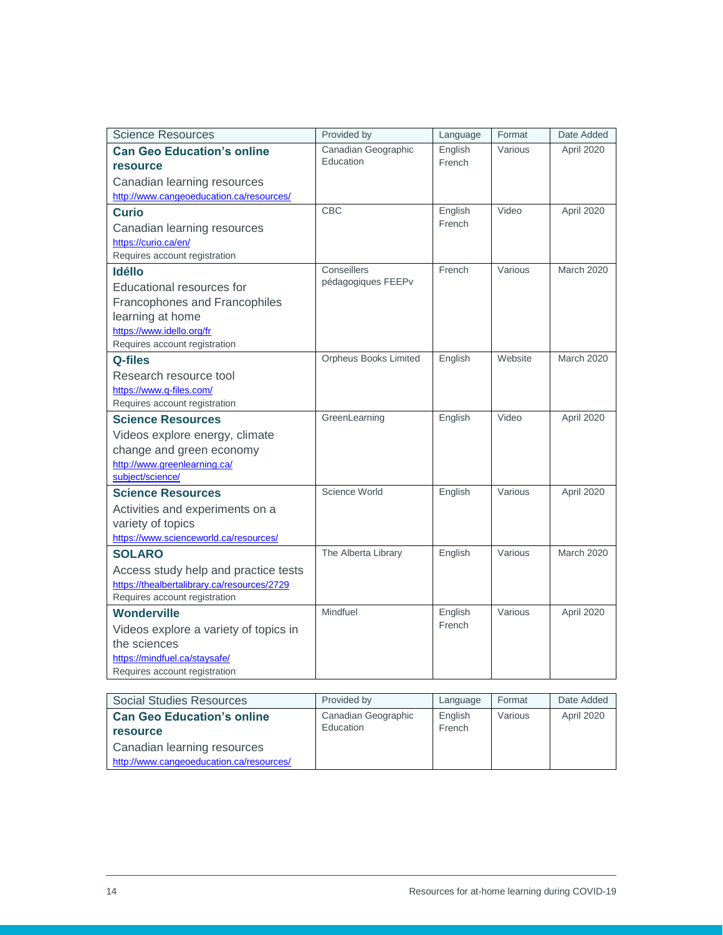| <b>Science Resources</b>                           | Provided by                       | Language | Format  | Date Added        |
|----------------------------------------------------|-----------------------------------|----------|---------|-------------------|
| <b>Can Geo Education's online</b>                  | Canadian Geographic               | English  | Various | April 2020        |
| resource                                           | Education                         | French   |         |                   |
| Canadian learning resources                        |                                   |          |         |                   |
| http://www.cangeoeducation.ca/resources/           |                                   |          |         |                   |
| <b>Curio</b>                                       | <b>CBC</b>                        | English  | Video   | April 2020        |
| Canadian learning resources                        |                                   | French   |         |                   |
| https://curio.ca/en/                               |                                   |          |         |                   |
| Requires account registration                      |                                   |          |         |                   |
| <b>Idélio</b>                                      | Conseillers<br>pédagogiques FEEPv | French   | Various | <b>March 2020</b> |
| <b>Educational resources for</b>                   |                                   |          |         |                   |
| Francophones and Francophiles                      |                                   |          |         |                   |
| learning at home                                   |                                   |          |         |                   |
| https://www.idello.org/fr                          |                                   |          |         |                   |
| Requires account registration                      | Orpheus Books Limited             | English  | Website | <b>March 2020</b> |
| Q-files                                            |                                   |          |         |                   |
| Research resource tool<br>https://www.q-files.com/ |                                   |          |         |                   |
| Requires account registration                      |                                   |          |         |                   |
| <b>Science Resources</b>                           | GreenLearning                     | English  | Video   | April 2020        |
| Videos explore energy, climate                     |                                   |          |         |                   |
| change and green economy                           |                                   |          |         |                   |
| http://www.greenlearning.ca/                       |                                   |          |         |                   |
| subject/science/                                   |                                   |          |         |                   |
| <b>Science Resources</b>                           | Science World                     | English  | Various | April 2020        |
| Activities and experiments on a                    |                                   |          |         |                   |
| variety of topics                                  |                                   |          |         |                   |
| https://www.scienceworld.ca/resources/             |                                   |          |         |                   |
| <b>SOLARO</b>                                      | The Alberta Library               | English  | Various | <b>March 2020</b> |
| Access study help and practice tests               |                                   |          |         |                   |
| https://thealbertalibrary.ca/resources/2729        |                                   |          |         |                   |
| Requires account registration                      |                                   |          |         |                   |
| <b>Wonderville</b>                                 | Mindfuel                          | English  | Various | April 2020        |
| Videos explore a variety of topics in              |                                   | French   |         |                   |
| the sciences                                       |                                   |          |         |                   |
| https://mindfuel.ca/staysafe/                      |                                   |          |         |                   |
| Requires account registration                      |                                   |          |         |                   |

| Social Studies Resources                 | Provided by         | Language | Format  | Date Added |
|------------------------------------------|---------------------|----------|---------|------------|
| <b>Can Geo Education's online</b>        | Canadian Geographic | English  | Various | April 2020 |
| <b>resource</b>                          | Education           | French   |         |            |
| Canadian learning resources              |                     |          |         |            |
| http://www.cangeoeducation.ca/resources/ |                     |          |         |            |